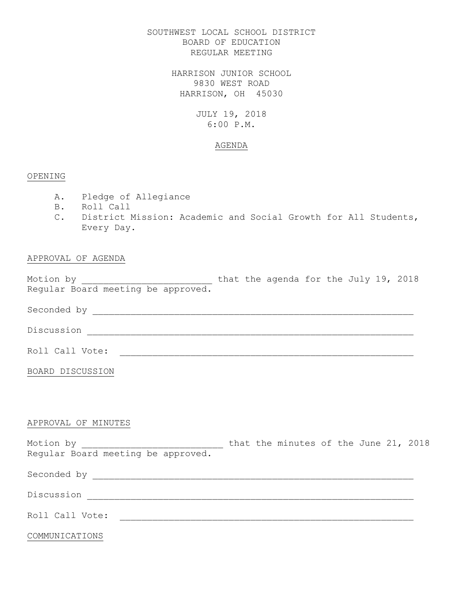## SOUTHWEST LOCAL SCHOOL DISTRICT BOARD OF EDUCATION REGULAR MEETING

HARRISON JUNIOR SCHOOL 9830 WEST ROAD HARRISON, OH 45030

# JULY 19, 2018 6:00 P.M.

## AGENDA

## OPENING

- A. Pledge of Allegiance
- B. Roll Call
- C. District Mission: Academic and Social Growth for All Students, Every Day.

# APPROVAL OF AGENDA

Motion by  $\hskip 1.6cm$  that the agenda for the July 19, 2018 Regular Board meeting be approved.

Seconded by \_\_\_\_\_\_\_\_\_\_\_\_\_\_\_\_\_\_\_\_\_\_\_\_\_\_\_\_\_\_\_\_\_\_\_\_\_\_\_\_\_\_\_\_\_\_\_\_\_\_\_\_\_\_\_\_\_\_\_

Discussion \_\_\_\_\_\_\_\_\_\_\_\_\_\_\_\_\_\_\_\_\_\_\_\_\_\_\_\_\_\_\_\_\_\_\_\_\_\_\_\_\_\_\_\_\_\_\_\_\_\_\_\_\_\_\_\_\_\_\_\_

Roll Call Vote: \_\_\_\_\_\_\_\_\_\_\_\_\_\_\_\_\_\_\_\_\_\_\_\_\_\_\_\_\_\_\_\_\_\_\_\_\_\_\_\_\_\_\_\_\_\_\_\_\_\_\_\_\_\_

BOARD DISCUSSION

## APPROVAL OF MINUTES

Motion by \_\_\_\_\_\_\_\_\_\_\_\_\_\_\_\_\_\_\_\_\_\_\_\_\_\_ that the minutes of the June 21, 2018 Regular Board meeting be approved.

Seconded by \_\_\_\_\_\_\_\_\_\_\_\_\_\_\_\_\_\_\_\_\_\_\_\_\_\_\_\_\_\_\_\_\_\_\_\_\_\_\_\_\_\_\_\_\_\_\_\_\_\_\_\_\_\_\_\_\_\_\_ Discussion \_\_\_\_\_\_\_\_\_\_\_\_\_\_\_\_\_\_\_\_\_\_\_\_\_\_\_\_\_\_\_\_\_\_\_\_\_\_\_\_\_\_\_\_\_\_\_\_\_\_\_\_\_\_\_\_\_\_\_\_ Roll Call Vote: \_\_\_\_\_\_\_\_\_\_\_\_\_\_\_\_\_\_\_\_\_\_\_\_\_\_\_\_\_\_\_\_\_\_\_\_\_\_\_\_\_\_\_\_\_\_\_\_\_\_\_\_\_\_

COMMUNICATIONS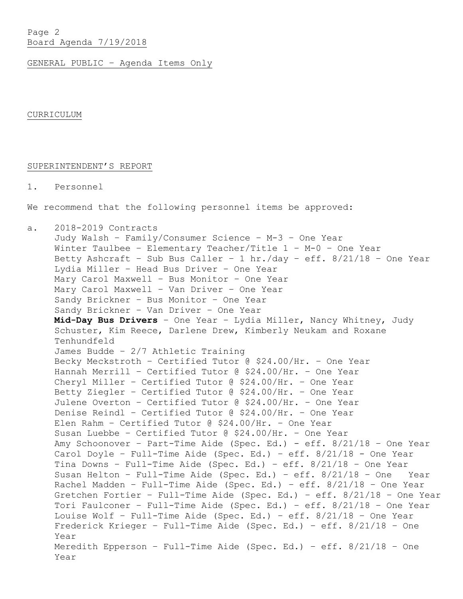Page 2 Board Agenda 7/19/2018

GENERAL PUBLIC – Agenda Items Only

CURRICULUM

## SUPERINTENDENT'S REPORT

1. Personnel

We recommend that the following personnel items be approved:

a. 2018-2019 Contracts

Judy Walsh – Family/Consumer Science – M-3 – One Year Winter Taulbee – Elementary Teacher/Title 1 – M-0 – One Year Betty Ashcraft – Sub Bus Caller – 1 hr./day – eff. 8/21/18 – One Year Lydia Miller – Head Bus Driver – One Year Mary Carol Maxwell – Bus Monitor – One Year Mary Carol Maxwell – Van Driver – One Year Sandy Brickner – Bus Monitor – One Year Sandy Brickner – Van Driver – One Year **Mid-Day Bus Drivers** – One Year – Lydia Miller, Nancy Whitney, Judy Schuster, Kim Reece, Darlene Drew, Kimberly Neukam and Roxane Tenhundfeld James Budde – 2/7 Athletic Training Becky Meckstroth – Certified Tutor @ \$24.00/Hr. – One Year Hannah Merrill – Certified Tutor @ \$24.00/Hr. – One Year Cheryl Miller – Certified Tutor @ \$24.00/Hr. – One Year Betty Ziegler – Certified Tutor @ \$24.00/Hr. – One Year Julene Overton – Certified Tutor @ \$24.00/Hr. – One Year Denise Reindl – Certified Tutor @ \$24.00/Hr. – One Year Elen Rahm – Certified Tutor @ \$24.00/Hr. – One Year Susan Luebbe – Certified Tutor @ \$24.00/Hr. – One Year Amy Schoonover – Part-Time Aide (Spec. Ed.) - eff. 8/21/18 – One Year Carol Doyle – Full-Time Aide (Spec. Ed.) – eff. 8/21/18 - One Year Tina Downs – Full-Time Aide (Spec. Ed.) – eff. 8/21/18 – One Year Susan Helton – Full-Time Aide (Spec. Ed.) – eff. 8/21/18 – One Year Rachel Madden – Full-Time Aide (Spec. Ed.) – eff. 8/21/18 – One Year Gretchen Fortier – Full-Time Aide (Spec. Ed.) – eff. 8/21/18 – One Year Tori Faulconer – Full-Time Aide (Spec. Ed.) – eff. 8/21/18 – One Year Louise Wolf – Full-Time Aide (Spec. Ed.) – eff. 8/21/18 – One Year Frederick Krieger – Full-Time Aide (Spec. Ed.) – eff. 8/21/18 – One Year Meredith Epperson – Full-Time Aide (Spec. Ed.) – eff. 8/21/18 – One Year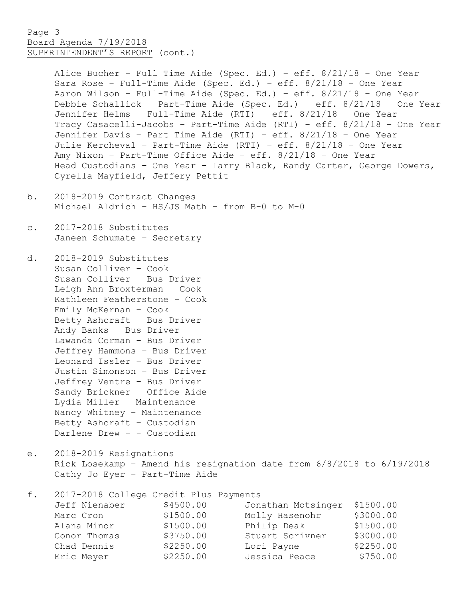## Page 3 Board Agenda 7/19/2018 SUPERINTENDENT'S REPORT (cont.)

Alice Bucher – Full Time Aide (Spec. Ed.) – eff. 8/21/18 – One Year Sara Rose – Full-Time Aide (Spec. Ed.) – eff. 8/21/18 – One Year Aaron Wilson – Full-Time Aide (Spec. Ed.) – eff. 8/21/18 – One Year Debbie Schallick – Part-Time Aide (Spec. Ed.) – eff. 8/21/18 – One Year Jennifer Helms – Full-Time Aide (RTI) – eff. 8/21/18 – One Year Tracy Casacelli-Jacobs – Part-Time Aide (RTI) – eff. 8/21/18 – One Year Jennifer Davis – Part Time Aide (RTI) – eff. 8/21/18 – One Year Julie Kercheval – Part-Time Aide (RTI) – eff. 8/21/18 – One Year Amy Nixon – Part-Time Office Aide – eff. 8/21/18 – One Year Head Custodians – One Year – Larry Black, Randy Carter, George Dowers, Cyrella Mayfield, Jeffery Pettit

- b. 2018-2019 Contract Changes Michael Aldrich – HS/JS Math – from B-0 to M-0
- c. 2017-2018 Substitutes Janeen Schumate – Secretary

d. 2018-2019 Substitutes Susan Colliver – Cook Susan Colliver – Bus Driver Leigh Ann Broxterman – Cook Kathleen Featherstone – Cook Emily McKernan – Cook Betty Ashcraft – Bus Driver Andy Banks – Bus Driver Lawanda Corman – Bus Driver Jeffrey Hammons – Bus Driver Leonard Issler – Bus Driver Justin Simonson – Bus Driver Jeffrey Ventre – Bus Driver Sandy Brickner – Office Aide Lydia Miller – Maintenance Nancy Whitney – Maintenance Betty Ashcraft – Custodian Darlene Drew - - Custodian

e. 2018-2019 Resignations Rick Losekamp – Amend his resignation date from 6/8/2018 to 6/19/2018 Cathy Jo Eyer – Part-Time Aide

| f. | 2017-2018 College Credit Plus Payments |           |                    |           |
|----|----------------------------------------|-----------|--------------------|-----------|
|    | Jeff Nienaber                          | \$4500.00 | Jonathan Motsinger | \$1500.00 |
|    | Marc Cron                              | \$1500.00 | Molly Hasenohr     | \$3000.00 |
|    | Alana Minor                            | \$1500.00 | Philip Deak        | \$1500.00 |
|    | Conor Thomas                           | \$3750.00 | Stuart Scrivner    | \$3000.00 |
|    | Chad Dennis                            | \$2250.00 | Lori Payne         | \$2250.00 |
|    | Eric Meyer                             | \$2250.00 | Jessica Peace      | \$750.00  |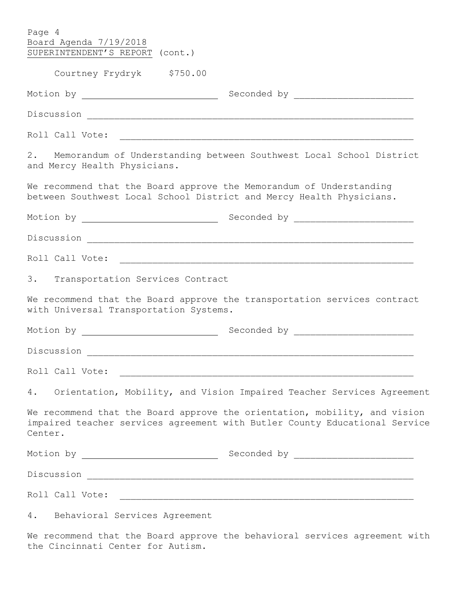| Page 4<br>Board Agenda 7/19/2018<br>SUPERINTENDENT'S REPORT (cont.)                                                                         |                                                                                                                                                         |
|---------------------------------------------------------------------------------------------------------------------------------------------|---------------------------------------------------------------------------------------------------------------------------------------------------------|
| Courtney Frydryk \$750.00                                                                                                                   |                                                                                                                                                         |
|                                                                                                                                             |                                                                                                                                                         |
|                                                                                                                                             |                                                                                                                                                         |
|                                                                                                                                             |                                                                                                                                                         |
| and Mercy Health Physicians.                                                                                                                | 2. Memorandum of Understanding between Southwest Local School District                                                                                  |
| We recommend that the Board approve the Memorandum of Understanding<br>between Southwest Local School District and Mercy Health Physicians. |                                                                                                                                                         |
|                                                                                                                                             |                                                                                                                                                         |
|                                                                                                                                             |                                                                                                                                                         |
|                                                                                                                                             |                                                                                                                                                         |
| 3. Transportation Services Contract                                                                                                         |                                                                                                                                                         |
| with Universal Transportation Systems.                                                                                                      | We recommend that the Board approve the transportation services contract                                                                                |
|                                                                                                                                             |                                                                                                                                                         |
|                                                                                                                                             |                                                                                                                                                         |
| Roll Call Vote:                                                                                                                             |                                                                                                                                                         |
|                                                                                                                                             | 4. Orientation, Mobility, and Vision Impaired Teacher Services Agreement                                                                                |
| Center.                                                                                                                                     | We recommend that the Board approve the orientation, mobility, and vision<br>impaired teacher services agreement with Butler County Educational Service |
|                                                                                                                                             |                                                                                                                                                         |
|                                                                                                                                             |                                                                                                                                                         |
|                                                                                                                                             |                                                                                                                                                         |
| 4. Behavioral Services Agreement                                                                                                            |                                                                                                                                                         |

We recommend that the Board approve the behavioral services agreement with the Cincinnati Center for Autism.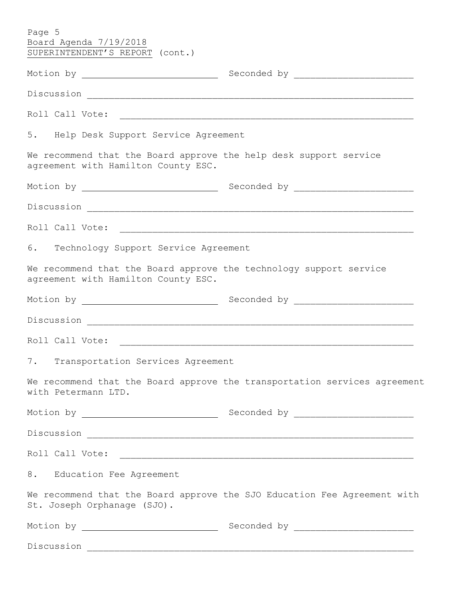| Page 5<br>Board Agenda 7/19/2018<br>SUPERINTENDENT'S REPORT (cont.)                                       |                                                                           |
|-----------------------------------------------------------------------------------------------------------|---------------------------------------------------------------------------|
|                                                                                                           |                                                                           |
|                                                                                                           |                                                                           |
|                                                                                                           |                                                                           |
| 5. Help Desk Support Service Agreement                                                                    |                                                                           |
| We recommend that the Board approve the help desk support service<br>agreement with Hamilton County ESC.  |                                                                           |
|                                                                                                           |                                                                           |
|                                                                                                           |                                                                           |
| Roll Call Vote:                                                                                           |                                                                           |
| 6. Technology Support Service Agreement                                                                   |                                                                           |
| We recommend that the Board approve the technology support service<br>agreement with Hamilton County ESC. |                                                                           |
|                                                                                                           |                                                                           |
|                                                                                                           |                                                                           |
|                                                                                                           |                                                                           |
| 7. Transportation Services Agreement                                                                      |                                                                           |
| with Petermann LTD.                                                                                       | We recommend that the Board approve the transportation services agreement |
|                                                                                                           |                                                                           |
|                                                                                                           |                                                                           |
|                                                                                                           |                                                                           |
| 8. Education Fee Agreement                                                                                |                                                                           |
| St. Joseph Orphanage (SJO).                                                                               | We recommend that the Board approve the SJO Education Fee Agreement with  |
|                                                                                                           |                                                                           |
|                                                                                                           |                                                                           |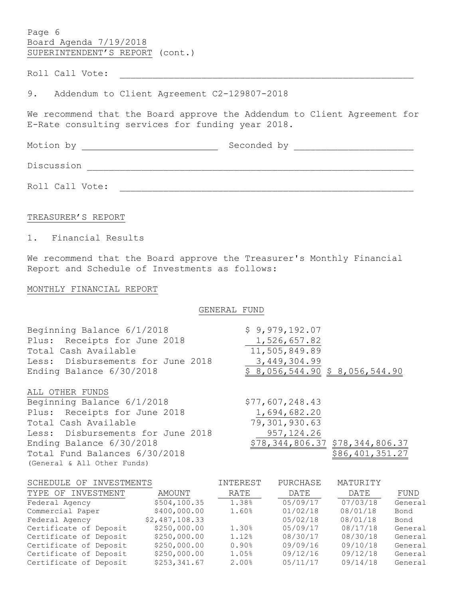Page 6 Board Agenda 7/19/2018 SUPERINTENDENT'S REPORT (cont.)

Roll Call Vote: \_\_\_\_\_\_\_\_\_\_\_\_\_\_\_\_\_\_\_\_\_\_\_\_\_\_\_\_\_\_\_\_\_\_\_\_\_\_\_\_\_\_\_\_\_\_\_\_\_\_\_\_\_\_

9. Addendum to Client Agreement C2-129807-2018

We recommend that the Board approve the Addendum to Client Agreement for E-Rate consulting services for funding year 2018.

Motion by Seconded by \_\_\_\_\_\_\_\_\_\_\_\_\_\_\_\_\_\_\_\_\_\_ Discussion \_\_\_\_\_\_\_\_\_\_\_\_\_\_\_\_\_\_\_\_\_\_\_\_\_\_\_\_\_\_\_\_\_\_\_\_\_\_\_\_\_\_\_\_\_\_\_\_\_\_\_\_\_\_\_\_\_\_\_\_

Roll Call Vote: \_\_\_\_\_\_\_\_\_\_\_\_\_\_\_\_\_\_\_\_\_\_\_\_\_\_\_\_\_\_\_\_\_\_\_\_\_\_\_\_\_\_\_\_\_\_\_\_\_\_\_\_\_\_

#### TREASURER'S REPORT

1. Financial Results

We recommend that the Board approve the Treasurer's Monthly Financial Report and Schedule of Investments as follows:

#### MONTHLY FINANCIAL REPORT

GENERAL FUND

| Beginning Balance 6/1/2018        | \$9,979,192.07                  |
|-----------------------------------|---------------------------------|
| Plus: Receipts for June 2018      | 1,526,657.82                    |
| Total Cash Available              | 11,505,849.89                   |
| Less: Disbursements for June 2018 | 3,449,304.99                    |
| Ending Balance 6/30/2018          | \$8,056,544.90 \$8,056,544.90   |
| ALL OTHER FUNDS                   |                                 |
| Beginning Balance 6/1/2018        | \$77,607,248.43                 |
| Plus: Receipts for June 2018      | 1,694,682.20                    |
| Total Cash Available              | 79,301,930.63                   |
| Less: Disbursements for June 2018 | 957, 124.26                     |
| Ending Balance 6/30/2018          | \$78,344,806.37 \$78,344,806.37 |
| Total Fund Balances 6/30/2018     | \$86,401,351.27                 |
| (General & All Other Funds)       |                                 |

| SCHEDULE OF INVESTMENTS |                | INTEREST | PURCHASE | MATURITY |         |
|-------------------------|----------------|----------|----------|----------|---------|
| TYPE OF INVESTMENT      | AMOUNT         | RATE     | DATE     | DATE     | FUND    |
| Federal Agency          | \$504,100.35   | 1.38%    | 05/09/17 | 07/03/18 | General |
| Commercial Paper        | \$400,000.00   | 1.60%    | 01/02/18 | 08/01/18 | Bond    |
| Federal Agency          | \$2,487,108.33 |          | 05/02/18 | 08/01/18 | Bond    |
| Certificate of Deposit  | \$250,000.00   | 1.30%    | 05/09/17 | 08/17/18 | General |
| Certificate of Deposit  | \$250,000.00   | 1.12%    | 08/30/17 | 08/30/18 | General |
| Certificate of Deposit  | \$250,000.00   | 0.90%    | 09/09/16 | 09/10/18 | General |
| Certificate of Deposit  | \$250,000.00   | 1.05%    | 09/12/16 | 09/12/18 | General |
| Certificate of Deposit  | \$253,341.67   | 2.00%    | 05/11/17 | 09/14/18 | General |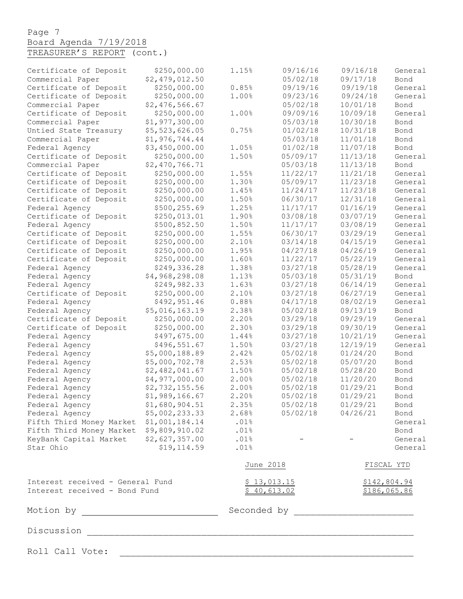# Page 7 Board Agenda 7/19/2018

| TREASURER'S REPORT (cont.) |
|----------------------------|
|----------------------------|

| Certificate of Deposit                       | \$250,000.00   | 1.15%       | 09/16/16    | 09/16/18          | General         |
|----------------------------------------------|----------------|-------------|-------------|-------------------|-----------------|
| Commercial Paper                             | \$2,479,012.50 |             | 05/02/18    | 09/17/18          | Bond            |
| Certificate of Deposit                       | \$250,000.00   | 0.85%       | 09/19/16    | 09/19/18          | General         |
| Certificate of Deposit                       | \$250,000.00   | 1.00%       | 09/23/16    | 09/24/18          | General         |
| Commercial Paper                             | \$2,476,566.67 |             | 05/02/18    | 10/01/18          | Bond            |
| Certificate of Deposit                       | \$250,000.00   | 1.00%       | 09/09/16    | 10/09/18          | General         |
| Commercial Paper                             | \$1,977,300.00 |             | 05/03/18    | 10/30/18          | Bond            |
| Untied State Treasury                        | \$5,523,626.05 | 0.75%       | 01/02/18    | 10/31/18          | Bond            |
| Commercial Paper                             | \$1,976,744.44 |             | 05/03/18    | 11/01/18          | Bond            |
| Federal Agency                               | \$3,450,000.00 | 1.05%       | 01/02/18    | 11/07/18          | Bond            |
| Certificate of Deposit                       | \$250,000.00   | 1.50%       | 05/09/17    | 11/13/18          | General         |
| Commercial Paper                             | \$2,470,766.71 |             | 05/03/18    | 11/13/18          | Bond            |
| Certificate of Deposit                       | \$250,000.00   | 1.55%       | 11/22/17    | 11/21/18          | General         |
| Certificate of Deposit                       | \$250,000.00   | 1.30%       | 05/09/17    | 11/23/18          | General         |
| Certificate of Deposit                       | \$250,000.00   | 1.45%       | 11/24/17    | 11/23/18          | General         |
| Certificate of Deposit                       | \$250,000.00   | 1.50%       | 06/30/17    | 12/31/18          | General         |
| Federal Agency                               | \$500,255.69   | 1.25%       | 11/17/17    | 01/16/19          | General         |
| Certificate of Deposit                       | \$250,013.01   | 1.90%       | 03/08/18    | 03/07/19          | General         |
| Federal Agency                               | \$500,852.50   | 1.50%       | 11/17/17    | 03/08/19          | General         |
| Certificate of Deposit                       | \$250,000.00   | 1.55%       | 06/30/17    | 03/29/19          | General         |
| Certificate of Deposit                       | \$250,000.00   | 2.10%       | 03/14/18    | 04/15/19          | General         |
| Certificate of Deposit                       | \$250,000.00   | 1.95%       | 04/27/18    | 04/26/19          | General         |
| Certificate of Deposit                       | \$250,000.00   | 1.60%       | 11/22/17    | 05/22/19          | General         |
| Federal Agency                               | \$249,336.28   | 1.38%       | 03/27/18    | 05/28/19          | General         |
| Federal Agency                               | \$4,968,298.08 | 1.13%       | 05/03/18    | 05/31/19          | Bond            |
| Federal Agency                               | \$249,982.33   | 1.63%       | 03/27/18    | 06/14/19          | General         |
| Certificate of Deposit                       | \$250,000.00   | 2.10%       | 03/27/18    | 06/27/19          | General         |
| Federal Agency                               | \$492,951.46   | 0.88%       | 04/17/18    | 08/02/19          | General         |
| Federal Agency                               | \$5,016,163.19 | 2.38%       | 05/02/18    | 09/13/19          | Bond            |
| Certificate of Deposit                       | \$250,000.00   | 2.20%       | 03/29/18    | 09/29/19          | General         |
| Certificate of Deposit                       | \$250,000.00   | 2.30%       | 03/29/18    | 09/30/19          | General         |
| Federal Agency                               | \$497,675.00   | 1.44%       | 03/27/18    | 10/21/19          | General         |
| Federal Agency                               | \$496,551.67   | 1.50%       | 03/27/18    | 12/19/19          | General         |
| Federal Agency                               | \$5,000,188.89 | 2.42%       | 05/02/18    | 01/24/20          | Bond            |
| Federal Agency                               | \$5,000,702.78 | 2.53%       | 05/02/18    | 05/07/20          | Bond            |
| Federal Agency                               | \$2,482,041.67 | 1.50%       | 05/02/18    | 05/28/20          | Bond            |
| Federal Agency                               | \$4,977,000.00 | 2.00%       | 05/02/18    | 11/20/20          | Bond            |
| Federal Agency                               | \$2,732,155.56 | 2.00%       | 05/02/18    | 01/29/21          | Bond            |
| Federal Agency                               | \$1,989,166.67 | 2.20%       | 05/02/18    | 01/29/21          | Bond            |
| Federal Agency                               | \$1,680,904.51 | 2.35%       | 05/02/18    | 01/29/21          | Bond            |
| Federal Agency                               | \$5,002,233.33 | 2.68%       |             | 05/02/18 04/26/21 |                 |
| Fifth Third Money Market \$1,001,184.14 .01% |                |             |             |                   | Bond<br>General |
| Fifth Third Money Market \$9,809,910.02 .01% |                |             |             |                   | Bond            |
| KeyBank Capital Market \$2,627,357.00        |                | .01%        |             |                   | General         |
| Star Ohio                                    | \$19, 114.59   | .01%        |             |                   | General         |
|                                              |                | June 2018   |             |                   | FISCAL YTD      |
| Interest received - General Fund             |                |             | \$13,013.15 |                   | \$142,804.94    |
| Interest received - Bond Fund                |                |             | \$40,613.02 |                   | \$186,065.86    |
|                                              |                | Seconded by |             |                   |                 |
|                                              |                |             |             |                   |                 |
| Roll Call Vote:                              |                |             |             |                   |                 |
|                                              |                |             |             |                   |                 |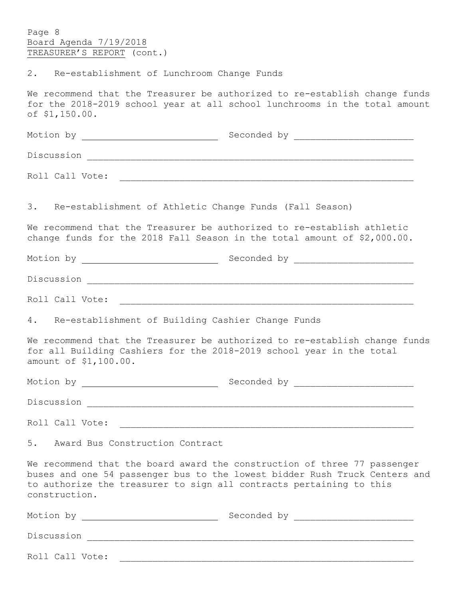Page 8 Board Agenda 7/19/2018 TREASURER'S REPORT (cont.)

2. Re-establishment of Lunchroom Change Funds

We recommend that the Treasurer be authorized to re-establish change funds for the 2018-2019 school year at all school lunchrooms in the total amount of \$1,150.00.

|                                    | 3. Re-establishment of Athletic Change Funds (Fall Season)                                                                                                                                                                    |
|------------------------------------|-------------------------------------------------------------------------------------------------------------------------------------------------------------------------------------------------------------------------------|
|                                    | We recommend that the Treasurer be authorized to re-establish athletic<br>change funds for the 2018 Fall Season in the total amount of \$2,000.00.                                                                            |
|                                    |                                                                                                                                                                                                                               |
|                                    |                                                                                                                                                                                                                               |
|                                    |                                                                                                                                                                                                                               |
|                                    | 4. Re-establishment of Building Cashier Change Funds                                                                                                                                                                          |
| amount of \$1,100.00.              | We recommend that the Treasurer be authorized to re-establish change funds<br>for all Building Cashiers for the 2018-2019 school year in the total                                                                            |
|                                    |                                                                                                                                                                                                                               |
|                                    |                                                                                                                                                                                                                               |
|                                    |                                                                                                                                                                                                                               |
| 5. Award Bus Construction Contract |                                                                                                                                                                                                                               |
| construction.                      | We recommend that the board award the construction of three 77 passenger<br>buses and one 54 passenger bus to the lowest bidder Rush Truck Centers and<br>to authorize the treasurer to sign all contracts pertaining to this |
|                                    |                                                                                                                                                                                                                               |
|                                    |                                                                                                                                                                                                                               |
| Roll Call Vote:                    |                                                                                                                                                                                                                               |